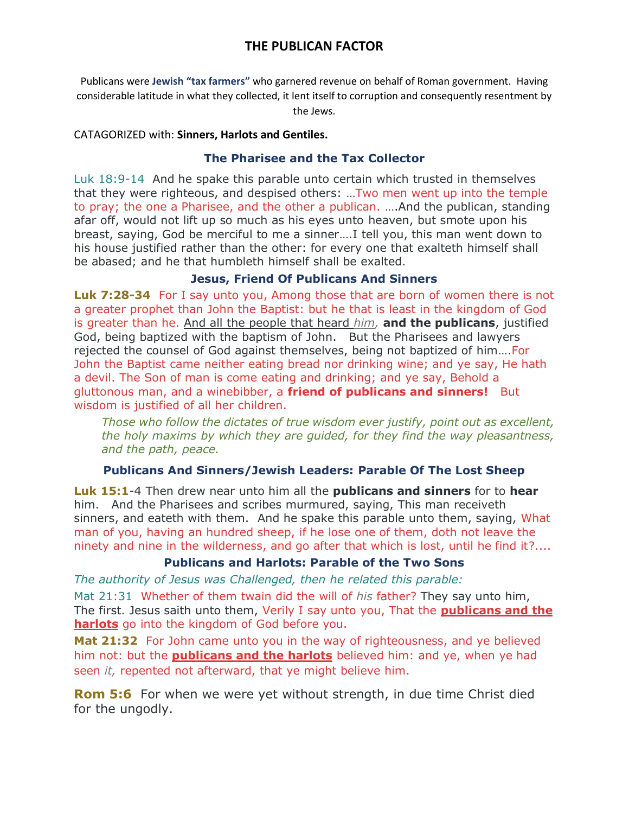# **THE PUBLICAN FACTOR**

Publicans were **Jewish "tax farmers"** who garnered revenue on behalf of Roman government. Having considerable latitude in what they collected, it lent itself to corruption and consequently resentment by the Jews.

#### CATAGORIZED with: **Sinners, Harlots and Gentiles.**

#### **The Pharisee and the Tax Collector**

Luk 18:9-14 And he spake this parable unto certain which trusted in themselves that they were righteous, and despised others: …Two men went up into the temple to pray; the one a Pharisee, and the other a publican. ….And the publican, standing afar off, would not lift up so much as his eyes unto heaven, but smote upon his breast, saying, God be merciful to me a sinner….I tell you, this man went down to his house justified rather than the other: for every one that exalteth himself shall be abased; and he that humbleth himself shall be exalted.

### **Jesus, Friend Of Publicans And Sinners**

**Luk 7:28-34** For I say unto you, Among those that are born of women there is not a greater prophet than John the Baptist: but he that is least in the kingdom of God is greater than he. And all the people that heard *him,* **and the publicans**, justified God, being baptized with the baptism of John. But the Pharisees and lawyers rejected the counsel of God against themselves, being not baptized of him….For John the Baptist came neither eating bread nor drinking wine; and ye say, He hath a devil. The Son of man is come eating and drinking; and ye say, Behold a gluttonous man, and a winebibber, a **friend of publicans and sinners!** But wisdom is justified of all her children.

*Those who follow the dictates of true wisdom ever justify, point out as excellent, the holy maxims by which they are guided, for they find the way pleasantness, and the path, peace.*

## **Publicans And Sinners/Jewish Leaders: Parable Of The Lost Sheep**

**Luk 15:1**-4 Then drew near unto him all the **publicans and sinners** for to **hear**  him. And the Pharisees and scribes murmured, saying, This man receiveth sinners, and eateth with them. And he spake this parable unto them, saying, What man of you, having an hundred sheep, if he lose one of them, doth not leave the ninety and nine in the wilderness, and go after that which is lost, until he find it?....

## **Publicans and Harlots: Parable of the Two Sons**

*The authority of Jesus was Challenged, then he related this parable:* 

Mat 21:31 Whether of them twain did the will of *his* father? They say unto him, The first. Jesus saith unto them, Verily I say unto you, That the **publicans and the harlots** go into the kingdom of God before you.

**Mat 21:32** For John came unto you in the way of righteousness, and ye believed him not: but the **publicans and the harlots** believed him: and ye, when ye had seen *it,* repented not afterward, that ye might believe him.

**Rom 5:6** For when we were yet without strength, in due time Christ died for the ungodly.